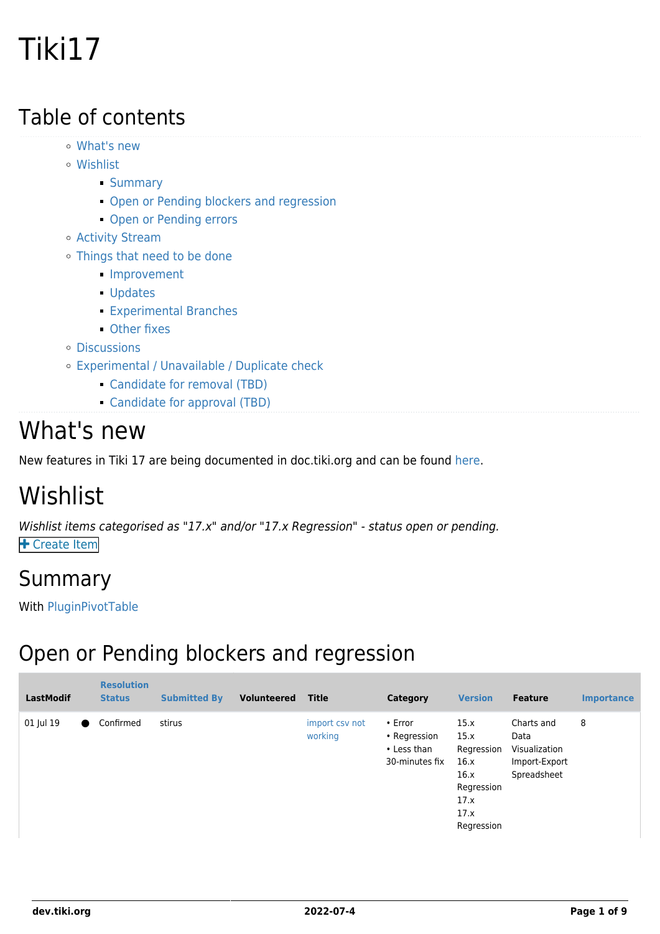# Tiki17

#### Table of contents

- [What's new](#page--1-0)
- [Wishlist](#page--1-0)
	- **[Summary](#page--1-0)**
	- **[Open or Pending blockers and regression](#page--1-0)**
	- **[Open or Pending errors](#page--1-0)**
- [Activity Stream](#page--1-0)
- [Things that need to be done](#page--1-0)
	- **[Improvement](#page--1-0)**
	- [Updates](#page--1-0)
	- [Experimental Branches](#page--1-0)
	- [Other fixes](#page--1-0)
- [Discussions](#page--1-0)
- [Experimental / Unavailable / Duplicate check](#page--1-0)
	- [Candidate for removal \(TBD\)](#page--1-0)
	- [Candidate for approval \(TBD\)](#page--1-0)

#### What's new

New features in Tiki 17 are being documented in doc.tiki.org and can be found [here](https://doc.tiki.org/Tiki17).

### Wishlist

Wishlist items categorised as "17.x" and/or "17.x Regression" - status open or pending. **+** [Create Item](https://dev.tiki.org/Make+a+wish)

#### Summary

With [PluginPivotTable](http://doc.tiki.org/PluginPivotTable)

#### Open or Pending blockers and regression

| <b>LastModif</b> | <b>Resolution</b><br><b>Status</b> | <b>Submitted By</b> | Volunteered | <b>Title</b>              | Category                                                       | <b>Version</b>                                                                         | <b>Feature</b>                                                      | <b>Importance</b> |
|------------------|------------------------------------|---------------------|-------------|---------------------------|----------------------------------------------------------------|----------------------------------------------------------------------------------------|---------------------------------------------------------------------|-------------------|
| 01 Jul 19        | Confirmed                          | stirus              |             | import csv not<br>working | $\cdot$ Error<br>• Regression<br>• Less than<br>30-minutes fix | 15.x<br>15.x<br>Regression<br>16.x<br>16.x<br>Regression<br>17.x<br>17.x<br>Regression | Charts and<br>Data<br>Visualization<br>Import-Export<br>Spreadsheet | 8                 |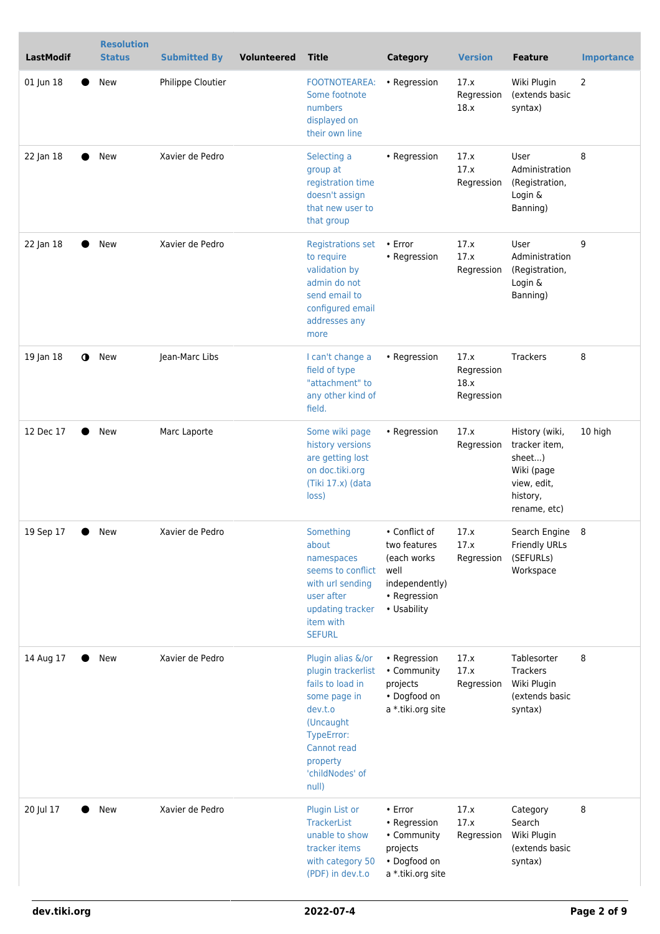| <b>LastModif</b>       | <b>Resolution</b><br><b>Status</b> | <b>Submitted By</b> | <b>Volunteered</b> | <b>Title</b>                                                                                                                                                             | <b>Category</b>                                                                                       | <b>Version</b>                           | <b>Feature</b>                                                                                     | <b>Importance</b> |
|------------------------|------------------------------------|---------------------|--------------------|--------------------------------------------------------------------------------------------------------------------------------------------------------------------------|-------------------------------------------------------------------------------------------------------|------------------------------------------|----------------------------------------------------------------------------------------------------|-------------------|
| 01 Jun 18              | <b>New</b>                         | Philippe Cloutier   |                    | <b>FOOTNOTEAREA:</b><br>Some footnote<br>numbers<br>displayed on<br>their own line                                                                                       | • Regression                                                                                          | 17.x<br>Regression<br>18.x               | Wiki Plugin<br>(extends basic<br>syntax)                                                           | 2                 |
| 22 Jan 18              | New                                | Xavier de Pedro     |                    | Selecting a<br>group at<br>registration time<br>doesn't assign<br>that new user to<br>that group                                                                         | • Regression                                                                                          | 17.x<br>17.x<br>Regression               | User<br>Administration<br>(Registration,<br>Login &<br>Banning)                                    | 8                 |
| 22 Jan 18              | <b>New</b>                         | Xavier de Pedro     |                    | <b>Registrations set</b><br>to require<br>validation by<br>admin do not<br>send email to<br>configured email<br>addresses any<br>more                                    | • Error<br>• Regression                                                                               | 17.x<br>17.x<br>Regression               | User<br>Administration<br>(Registration,<br>Login &<br>Banning)                                    | 9                 |
| 19 Jan 18<br>$\bullet$ | New                                | Jean-Marc Libs      |                    | I can't change a<br>field of type<br>"attachment" to<br>any other kind of<br>field.                                                                                      | • Regression                                                                                          | 17.x<br>Regression<br>18.x<br>Regression | Trackers                                                                                           | 8                 |
| 12 Dec 17              | New                                | Marc Laporte        |                    | Some wiki page<br>history versions<br>are getting lost<br>on doc.tiki.org<br>(Tiki 17.x) (data<br>loss)                                                                  | • Regression                                                                                          | 17.x<br>Regression                       | History (wiki,<br>tracker item,<br>sheet)<br>Wiki (page<br>view, edit,<br>history,<br>rename, etc) | 10 high           |
| 19 Sep 17              | <b>New</b>                         | Xavier de Pedro     |                    | Something<br>about<br>namespaces<br>seems to conflict<br>with url sending<br>user after<br>updating tracker<br>item with<br><b>SEFURL</b>                                | • Conflict of<br>two features<br>(each works<br>well<br>independently)<br>• Regression<br>• Usability | 17.x<br>17.x<br>Regression               | Search Engine 8<br><b>Friendly URLs</b><br>(SEFURLs)<br>Workspace                                  |                   |
| 14 Aug 17              | New                                | Xavier de Pedro     |                    | Plugin alias &/or<br>plugin trackerlist<br>fails to load in<br>some page in<br>dev.t.o<br>(Uncaught<br>TypeError:<br>Cannot read<br>property<br>'childNodes' of<br>null) | • Regression<br>• Community<br>projects<br>• Dogfood on<br>a *.tiki.org site                          | 17.x<br>17.x<br>Regression               | Tablesorter<br><b>Trackers</b><br>Wiki Plugin<br>(extends basic<br>syntax)                         | 8                 |
| 20 Jul 17              | New                                | Xavier de Pedro     |                    | Plugin List or<br><b>TrackerList</b><br>unable to show<br>tracker items<br>with category 50<br>(PDF) in dev.t.o                                                          | • Error<br>• Regression<br>• Community<br>projects<br>• Dogfood on<br>a *.tiki.org site               | 17.x<br>17.x<br>Regression               | Category<br>Search<br>Wiki Plugin<br>(extends basic<br>syntax)                                     | 8                 |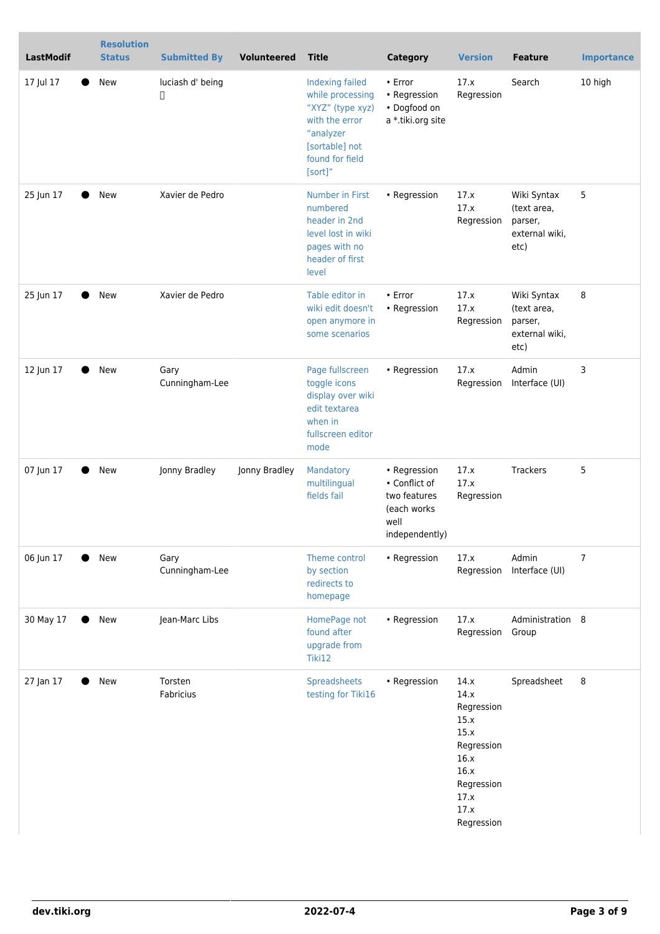| <b>LastModif</b> | <b>Resolution</b><br><b>Status</b> | <b>Submitted By</b>    | Volunteered   | <b>Title</b>                                                                                                                           | <b>Category</b>                                                                        | <b>Version</b>                                                                                                       | <b>Feature</b>                                                  | <b>Importance</b> |
|------------------|------------------------------------|------------------------|---------------|----------------------------------------------------------------------------------------------------------------------------------------|----------------------------------------------------------------------------------------|----------------------------------------------------------------------------------------------------------------------|-----------------------------------------------------------------|-------------------|
| 17 Jul 17        | New                                | luciash d' being<br>П  |               | Indexing failed<br>while processing<br>"XYZ" (type xyz)<br>with the error<br>"analyzer<br>[sortable] not<br>found for field<br>[sort]" | $\cdot$ Error<br>• Regression<br>• Dogfood on<br>a *.tiki.org site                     | 17.x<br>Regression                                                                                                   | Search                                                          | 10 high           |
| 25 Jun 17        | New                                | Xavier de Pedro        |               | <b>Number in First</b><br>numbered<br>header in 2nd<br>level lost in wiki<br>pages with no<br>header of first<br>level                 | • Regression                                                                           | 17.x<br>17.x<br>Regression                                                                                           | Wiki Syntax<br>(text area,<br>parser,<br>external wiki,<br>etc) | 5                 |
| 25 Jun 17        | New                                | Xavier de Pedro        |               | Table editor in<br>wiki edit doesn't<br>open anymore in<br>some scenarios                                                              | • Error<br>• Regression                                                                | 17.x<br>17.x<br>Regression                                                                                           | Wiki Syntax<br>(text area,<br>parser,<br>external wiki,<br>etc) | 8                 |
| 12 Jun 17        | New                                | Gary<br>Cunningham-Lee |               | Page fullscreen<br>toggle icons<br>display over wiki<br>edit textarea<br>when in<br>fullscreen editor<br>mode                          | • Regression                                                                           | 17.x<br>Regression                                                                                                   | Admin<br>Interface (UI)                                         | 3                 |
| 07 Jun 17        | New                                | Jonny Bradley          | Jonny Bradley | Mandatory<br>multilingual<br>fields fail                                                                                               | • Regression<br>• Conflict of<br>two features<br>(each works<br>well<br>independently) | 17.x<br>17.x<br>Regression                                                                                           | Trackers                                                        | 5                 |
| 06 Jun 17        | New                                | Gary<br>Cunningham-Lee |               | Theme control<br>by section<br>redirects to<br>homepage                                                                                | • Regression                                                                           | 17.x<br>Regression                                                                                                   | Admin<br>Interface (UI)                                         | 7                 |
| 30 May 17        | New                                | Jean-Marc Libs         |               | HomePage not<br>found after<br>upgrade from<br>Tiki12                                                                                  | • Regression                                                                           | 17.x<br>Regression Group                                                                                             | Administration 8                                                |                   |
| 27 Jan 17        | New                                | Torsten<br>Fabricius   |               | Spreadsheets<br>testing for Tiki16                                                                                                     | • Regression                                                                           | 14.x<br>14.x<br>Regression<br>15.x<br>15.x<br>Regression<br>16.x<br>16.x<br>Regression<br>17.x<br>17.x<br>Regression | Spreadsheet                                                     | 8                 |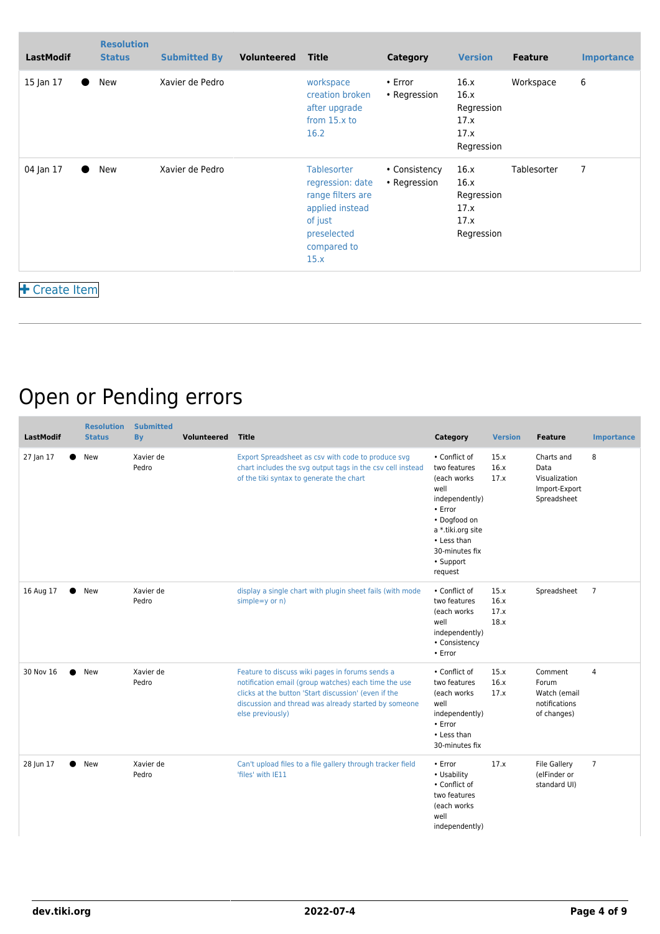| <b>LastModif</b>       | <b>Resolution</b><br><b>Status</b> | <b>Submitted By</b> | Volunteered | Title                                                                                                                    | Category                      | <b>Version</b>                                           | <b>Feature</b> | <b>Importance</b> |
|------------------------|------------------------------------|---------------------|-------------|--------------------------------------------------------------------------------------------------------------------------|-------------------------------|----------------------------------------------------------|----------------|-------------------|
| 15 Jan 17<br>$\bullet$ | New                                | Xavier de Pedro     |             | workspace<br>creation broken<br>after upgrade<br>from $15.x$ to<br>16.2                                                  | $\cdot$ Error<br>• Regression | 16.x<br>16.x<br>Regression<br>17.x<br>17.x<br>Regression | Workspace      | 6                 |
| 04 Jan 17              | New                                | Xavier de Pedro     |             | Tablesorter<br>regression: date<br>range filters are<br>applied instead<br>of just<br>preselected<br>compared to<br>15.x | • Consistency<br>• Regression | 16.x<br>16.x<br>Regression<br>17.x<br>17.x<br>Regression | Tablesorter    | 7                 |
| + Create Item          |                                    |                     |             |                                                                                                                          |                               |                                                          |                |                   |

### Open or Pending errors

| <b>LastModif</b> | <b>Resolution</b><br><b>Status</b> | <b>Submitted</b><br><b>By</b> | <b>Volunteered</b> | <b>Title</b>                                                                                                                                                                                                                                | Category                                                                                                                                                                         | <b>Version</b>               | <b>Feature</b>                                                      | <b>Importance</b> |
|------------------|------------------------------------|-------------------------------|--------------------|---------------------------------------------------------------------------------------------------------------------------------------------------------------------------------------------------------------------------------------------|----------------------------------------------------------------------------------------------------------------------------------------------------------------------------------|------------------------------|---------------------------------------------------------------------|-------------------|
| 27 Jan 17        | New                                | Xavier de<br>Pedro            |                    | Export Spreadsheet as csv with code to produce svg<br>chart includes the svg output tags in the csv cell instead<br>of the tiki syntax to generate the chart                                                                                | • Conflict of<br>two features<br>(each works)<br>well<br>independently)<br>• Error<br>• Dogfood on<br>a *.tiki.org site<br>• Less than<br>30-minutes fix<br>• Support<br>request | 15.x<br>16.x<br>17.x         | Charts and<br>Data<br>Visualization<br>Import-Export<br>Spreadsheet | 8                 |
| 16 Aug 17        | New                                | Xavier de<br>Pedro            |                    | display a single chart with plugin sheet fails (with mode<br>$simple=y$ or $n)$                                                                                                                                                             | • Conflict of<br>two features<br>(each works)<br>well<br>independently)<br>• Consistency<br>• Error                                                                              | 15.x<br>16.x<br>17.x<br>18.x | Spreadsheet                                                         | $\overline{7}$    |
| 30 Nov 16        | New                                | Xavier de<br>Pedro            |                    | Feature to discuss wiki pages in forums sends a<br>notification email (group watches) each time the use<br>clicks at the button 'Start discussion' (even if the<br>discussion and thread was already started by someone<br>else previously) | • Conflict of<br>two features<br>(each works<br>well<br>independently)<br>• Error<br>• Less than<br>30-minutes fix                                                               | 15.x<br>16.x<br>17.x         | Comment<br>Forum<br>Watch (email<br>notifications<br>of changes)    | $\overline{4}$    |
| 28 Jun 17        | New                                | Xavier de<br>Pedro            |                    | Can't upload files to a file gallery through tracker field<br>'files' with IE11                                                                                                                                                             | • Error<br>• Usability<br>• Conflict of<br>two features<br>(each works<br>well<br>independently)                                                                                 | 17.x                         | <b>File Gallery</b><br>(elFinder or<br>standard UI)                 | $\overline{7}$    |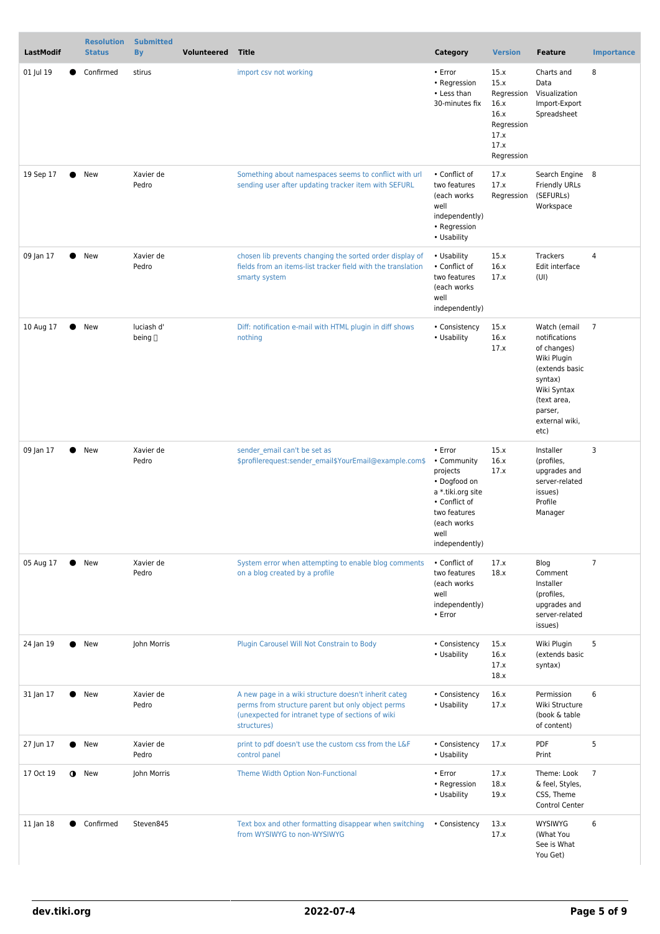| <b>LastModif</b> |           | <b>Resolution</b><br><b>Status</b> | <b>Submitted</b><br><b>By</b> | <b>Volunteered</b> | <b>Title</b>                                                                                                                                                                  | Category                                                                                                                                           | <b>Version</b>                                                                         | <b>Feature</b>                                                                                                                                              | <b>Importance</b> |
|------------------|-----------|------------------------------------|-------------------------------|--------------------|-------------------------------------------------------------------------------------------------------------------------------------------------------------------------------|----------------------------------------------------------------------------------------------------------------------------------------------------|----------------------------------------------------------------------------------------|-------------------------------------------------------------------------------------------------------------------------------------------------------------|-------------------|
| 01 Jul 19        |           | Confirmed                          | stirus                        |                    | import csv not working                                                                                                                                                        | • Error<br>• Regression<br>• Less than<br>30-minutes fix                                                                                           | 15.x<br>15.x<br>Regression<br>16.x<br>16.x<br>Regression<br>17.x<br>17.x<br>Regression | Charts and<br>Data<br>Visualization<br>Import-Export<br>Spreadsheet                                                                                         | 8                 |
| 19 Sep 17        | $\bullet$ | New                                | Xavier de<br>Pedro            |                    | Something about namespaces seems to conflict with url<br>sending user after updating tracker item with SEFURL                                                                 | • Conflict of<br>two features<br>(each works<br>well<br>independently)<br>• Regression<br>• Usability                                              | 17.x<br>17.x<br>Regression                                                             | Search Engine 8<br><b>Friendly URLs</b><br>(SEFURLs)<br>Workspace                                                                                           |                   |
| 09 Jan 17        | ●         | New                                | Xavier de<br>Pedro            |                    | chosen lib prevents changing the sorted order display of<br>fields from an items-list tracker field with the translation<br>smarty system                                     | • Usability<br>• Conflict of<br>two features<br>(each works)<br>well<br>independently)                                                             | 15.x<br>16.x<br>17.x                                                                   | Trackers<br>Edit interface<br>(UI)                                                                                                                          | 4                 |
| 10 Aug 17        |           | New                                | luciash d'<br>being []        |                    | Diff: notification e-mail with HTML plugin in diff shows<br>nothing                                                                                                           | • Consistency<br>• Usability                                                                                                                       | 15.x<br>16.x<br>17.x                                                                   | Watch (email<br>notifications<br>of changes)<br>Wiki Plugin<br>(extends basic<br>syntax)<br>Wiki Syntax<br>(text area,<br>parser,<br>external wiki,<br>etc) | $\overline{7}$    |
| 09 Jan 17        |           | New                                | Xavier de<br>Pedro            |                    | sender email can't be set as<br>\$profilerequest:sender_email\$YourEmail@example.com\$                                                                                        | • Error<br>• Community<br>projects<br>• Dogfood on<br>a *.tiki.org site<br>• Conflict of<br>two features<br>(each works)<br>well<br>independently) | 15.x<br>16.x<br>17.x                                                                   | Installer<br>(profiles,<br>upgrades and<br>server-related<br>issues)<br>Profile<br>Manager                                                                  | 3                 |
| 05 Aug 17        |           | New                                | Xavier de<br>Pedro            |                    | System error when attempting to enable blog comments<br>on a blog created by a profile                                                                                        | • Conflict of<br>two features<br>(each works<br>well<br>independently)<br>• Error                                                                  | 17.x<br>18.x                                                                           | Blog<br>Comment<br>Installer<br>(profiles,<br>upgrades and<br>server-related<br>issues)                                                                     | $\overline{7}$    |
| 24 Jan 19        |           | New                                | John Morris                   |                    | Plugin Carousel Will Not Constrain to Body                                                                                                                                    | • Consistency<br>• Usability                                                                                                                       | 15.x<br>16.x<br>17.x<br>18.x                                                           | Wiki Plugin<br>(extends basic<br>syntax)                                                                                                                    | 5                 |
| 31 Jan 17        |           | New                                | Xavier de<br>Pedro            |                    | A new page in a wiki structure doesn't inherit categ<br>perms from structure parent but only object perms<br>(unexpected for intranet type of sections of wiki<br>structures) | • Consistency<br>• Usability                                                                                                                       | 16.x<br>17.x                                                                           | Permission<br>Wiki Structure<br>(book & table<br>of content)                                                                                                | 6                 |
| 27 Jun 17        |           | • New                              | Xavier de<br>Pedro            |                    | print to pdf doesn't use the custom css from the L&F<br>control panel                                                                                                         | • Consistency<br>• Usability                                                                                                                       | 17.x                                                                                   | PDF<br>Print                                                                                                                                                | 5                 |
| 17 Oct 19        | $\bullet$ | New                                | John Morris                   |                    | Theme Width Option Non-Functional                                                                                                                                             | • Error<br>• Regression<br>• Usability                                                                                                             | 17.x<br>18.x<br>19.x                                                                   | Theme: Look<br>& feel, Styles,<br>CSS, Theme<br>Control Center                                                                                              | $\overline{7}$    |
| 11 Jan 18        |           | Confirmed                          | Steven845                     |                    | Text box and other formatting disappear when switching<br>from WYSIWYG to non-WYSIWYG                                                                                         | • Consistency                                                                                                                                      | 13.x<br>17.x                                                                           | <b>WYSIWYG</b><br>(What You<br>See is What<br>You Get)                                                                                                      | 6                 |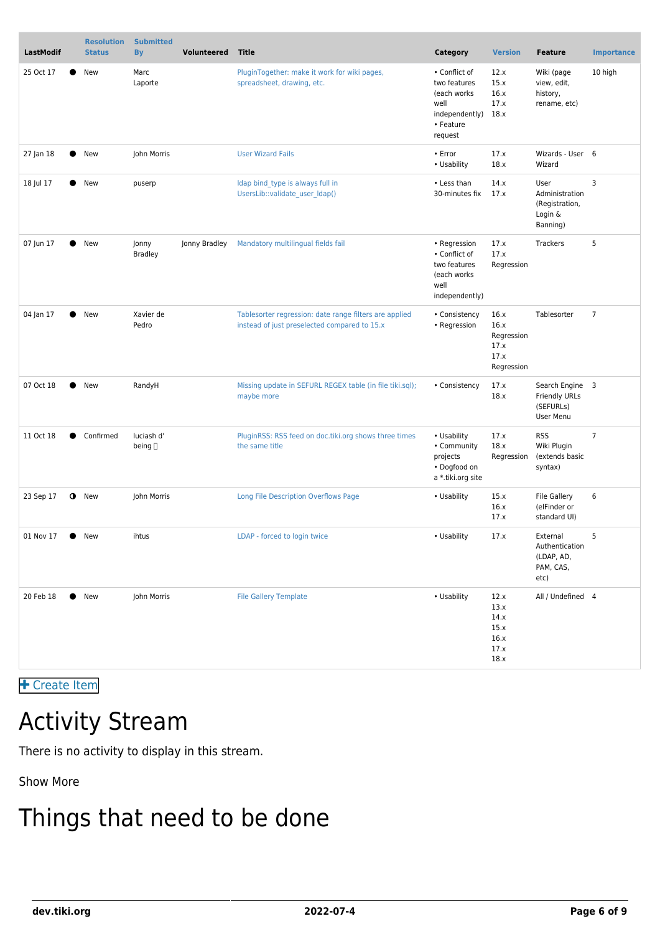| <b>LastModif</b>       | <b>Resolution</b><br><b>Status</b> | <b>Submitted</b><br><b>By</b> | <b>Volunteered</b> | <b>Title</b>                                                                                           | Category                                                                                        | <b>Version</b>                                           | <b>Feature</b>                                                    | <b>Importance</b> |
|------------------------|------------------------------------|-------------------------------|--------------------|--------------------------------------------------------------------------------------------------------|-------------------------------------------------------------------------------------------------|----------------------------------------------------------|-------------------------------------------------------------------|-------------------|
| 25 Oct 17              | New                                | Marc<br>Laporte               |                    | PluginTogether: make it work for wiki pages,<br>spreadsheet, drawing, etc.                             | • Conflict of<br>two features<br>(each works)<br>well<br>independently)<br>• Feature<br>request | 12.x<br>15.x<br>16.x<br>17.x<br>18.x                     | Wiki (page<br>view, edit,<br>history,<br>rename, etc)             | 10 high           |
| 27 Jan 18              | New                                | John Morris                   |                    | <b>User Wizard Fails</b>                                                                               | • Error<br>• Usability                                                                          | 17.x<br>18.x                                             | Wizards - User 6<br>Wizard                                        |                   |
| 18 Jul 17              | New                                | puserp                        |                    | Idap bind type is always full in<br>UsersLib::validate user Idap()                                     | • Less than<br>30-minutes fix                                                                   | 14.x<br>17.x                                             | User<br>Administration<br>(Registration,<br>Login &<br>Banning)   | 3                 |
| 07 Jun 17              | New                                | Jonny<br><b>Bradley</b>       | Jonny Bradley      | Mandatory multilingual fields fail                                                                     | • Regression<br>• Conflict of<br>two features<br>(each works)<br>well<br>independently)         | 17.x<br>17.x<br>Regression                               | Trackers                                                          | 5                 |
| 04 Jan 17              | New                                | Xavier de<br>Pedro            |                    | Tablesorter regression: date range filters are applied<br>instead of just preselected compared to 15.x | • Consistency<br>• Regression                                                                   | 16.x<br>16.x<br>Regression<br>17.x<br>17.x<br>Regression | Tablesorter                                                       | $\overline{7}$    |
| 07 Oct 18<br>$\bullet$ | New                                | RandyH                        |                    | Missing update in SEFURL REGEX table (in file tiki.sql);<br>maybe more                                 | • Consistency                                                                                   | 17.x<br>18.x                                             | Search Engine 3<br><b>Friendly URLs</b><br>(SEFURLs)<br>User Menu |                   |
| 11 Oct 18              | Confirmed                          | luciash d'<br>being $\Box$    |                    | PluginRSS: RSS feed on doc.tiki.org shows three times<br>the same title                                | • Usability<br>• Community<br>projects<br>• Dogfood on<br>a *.tiki.org site                     | 17.x<br>18.x<br>Regression                               | <b>RSS</b><br>Wiki Plugin<br>(extends basic<br>syntax)            | $\overline{7}$    |
| 23 Sep 17<br>$\bullet$ | New                                | John Morris                   |                    | Long File Description Overflows Page                                                                   | • Usability                                                                                     | 15.x<br>16.x<br>17.x                                     | <b>File Gallery</b><br>(elFinder or<br>standard UI)               | 6                 |
| 01 Nov 17              | $\bullet$ New                      | ihtus                         |                    | LDAP - forced to login twice                                                                           | • Usability                                                                                     | 17.x                                                     | External<br>Authentication<br>(LDAP, AD,<br>PAM, CAS,<br>etc)     | 5                 |
| 20 Feb 18              | New                                | John Morris                   |                    | <b>File Gallery Template</b>                                                                           | • Usability                                                                                     | 12.x<br>13.x<br>14.x<br>15.x<br>16.x<br>17.x<br>18.x     | All / Undefined 4                                                 |                   |

 [Create Item](https://dev.tiki.org/Make+a+wish)

### Activity Stream

There is no activity to display in this stream.

Show More

# Things that need to be done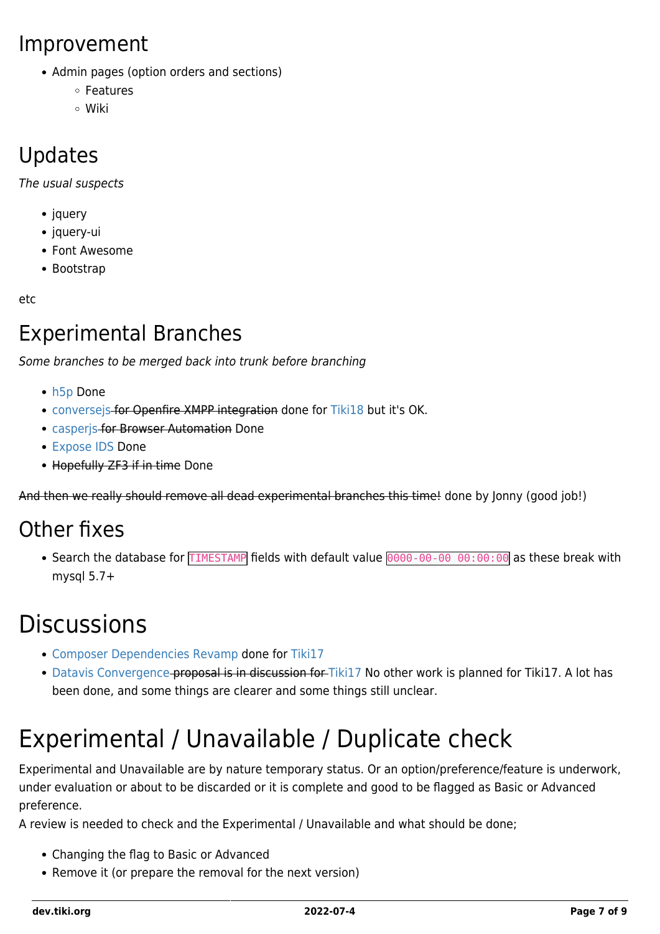#### Improvement

- Admin pages (option orders and sections)
	- Features
	- Wiki

#### Updates

The usual suspects

- jquery
- jquery-ui
- Font Awesome
- Bootstrap

etc

#### Experimental Branches

Some branches to be merged back into trunk before branching

- [h5p](https://sourceforge.net/p/tikiwiki/code/HEAD/tree/branches/experimental/h5p) Done
- [conversejs](https://sourceforge.net/p/tikiwiki/code/HEAD/tree/branches/experimental/conversejs) for Openfire XMPP integration done for [Tiki18](https://dev.tiki.org/Tiki18) but it's OK.
- [casperjs](https://sourceforge.net/p/tikiwiki/code/HEAD/tree/branches/experimental/casperjs) for Browser Automation Done
- [Expose IDS](https://sourceforge.net/p/tikiwiki/code/HEAD/tree/branches/experimental/expose-ids/) Done
- Hopefully ZF3 if in time Done

And then we really should remove all dead experimental branches this time! done by Jonny (good job!)

#### Other fixes

• Search the database for TIMESTAMP fields with default value 0000-00-00 00:00:00 as these break with mysql 5.7+

# **Discussions**

- [Composer Dependencies Revamp](https://dev.tiki.org/Composer-Dependencies-Revamp) done for [Tiki17](https://dev.tiki.org/Tiki17)
- [Datavis Convergence](https://dev.tiki.org/Datavis-Convergence)-proposal is in discussion for [Tiki17](https://dev.tiki.org/Tiki17) No other work is planned for Tiki17. A lot has been done, and some things are clearer and some things still unclear.

# Experimental / Unavailable / Duplicate check

Experimental and Unavailable are by nature temporary status. Or an option/preference/feature is underwork, under evaluation or about to be discarded or it is complete and good to be flagged as Basic or Advanced preference.

A review is needed to check and the Experimental / Unavailable and what should be done;

- Changing the flag to Basic or Advanced
- Remove it (or prepare the removal for the next version)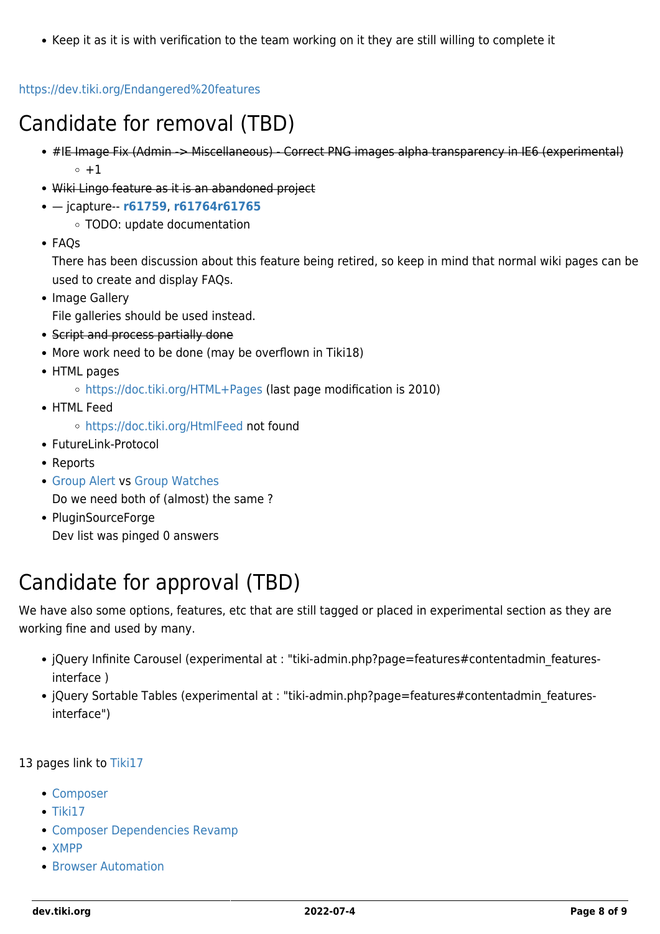• Keep it as it is with verification to the team working on it they are still willing to complete it

#### <https://dev.tiki.org/Endangered%20features>

#### Candidate for removal (TBD)

- #IE Image Fix (Admin -> Miscellaneous) Correct PNG images alpha transparency in IE6 (experimental)  $\circ$  +1
- Wiki Lingo feature as it is an abandoned project
- jcapture-- **[r61759](http://sourceforge.net/p/tikiwiki/code/61759)**, **[r61764](http://sourceforge.net/p/tikiwiki/code/61764)[r61765](http://sourceforge.net/p/tikiwiki/code/61765)**
	- TODO: update documentation
- FAOs

There has been discussion about this feature being retired, so keep in mind that normal wiki pages can be used to create and display FAQs.

• Image Gallery

File galleries should be used instead.

- Script and process partially done
- More work need to be done (may be overflown in Tiki18)
- HTML pages
	- <https://doc.tiki.org/HTML+Pages>(last page modification is 2010)
- HTML Feed
	- <https://doc.tiki.org/HtmlFeed> not found
- FutureLink-Protocol
- Reports
- [Group Alert](https://doc.tiki.org/Group+Alert) vs [Group Watches](https://doc.tiki.org/Group+Watches) Do we need both of (almost) the same ?
- PluginSourceForge Dev list was pinged 0 answers

#### Candidate for approval (TBD)

We have also some options, features, etc that are still tagged or placed in experimental section as they are working fine and used by many.

- jQuery Infinite Carousel (experimental at : "tiki-admin.php?page=features#contentadmin featuresinterface )
- jQuery Sortable Tables (experimental at : "tiki-admin.php?page=features#contentadmin featuresinterface")

13 pages link to [Tiki17](https://dev.tiki.org/Tiki17)

- [Composer](https://dev.tiki.org/Composer)
- $\bullet$  [Tiki17](https://dev.tiki.org/Tiki17)
- [Composer Dependencies Revamp](https://dev.tiki.org/Composer-Dependencies-Revamp)
- [XMPP](https://dev.tiki.org/XMPP)
- **[Browser Automation](https://dev.tiki.org/Browser-Automation)**